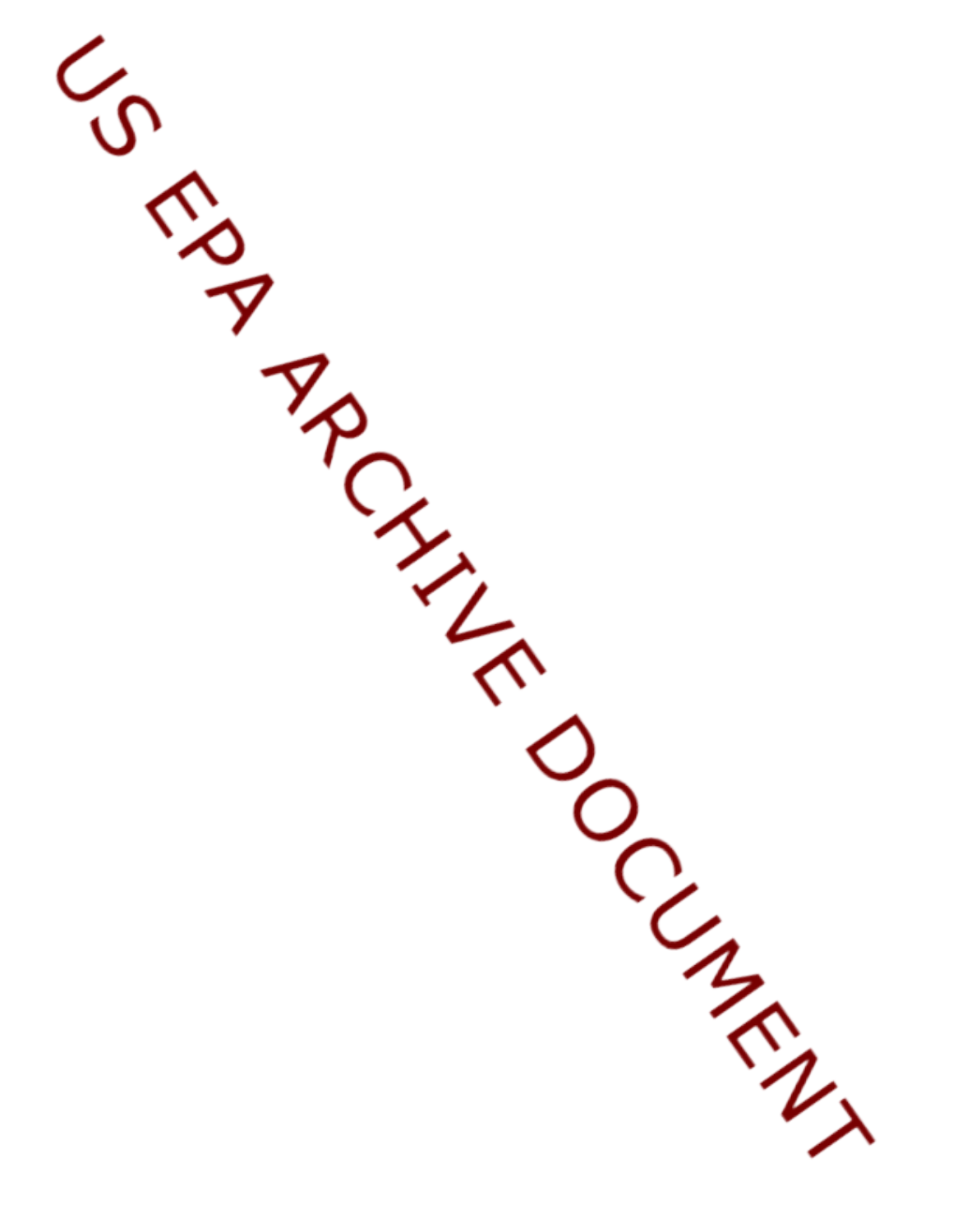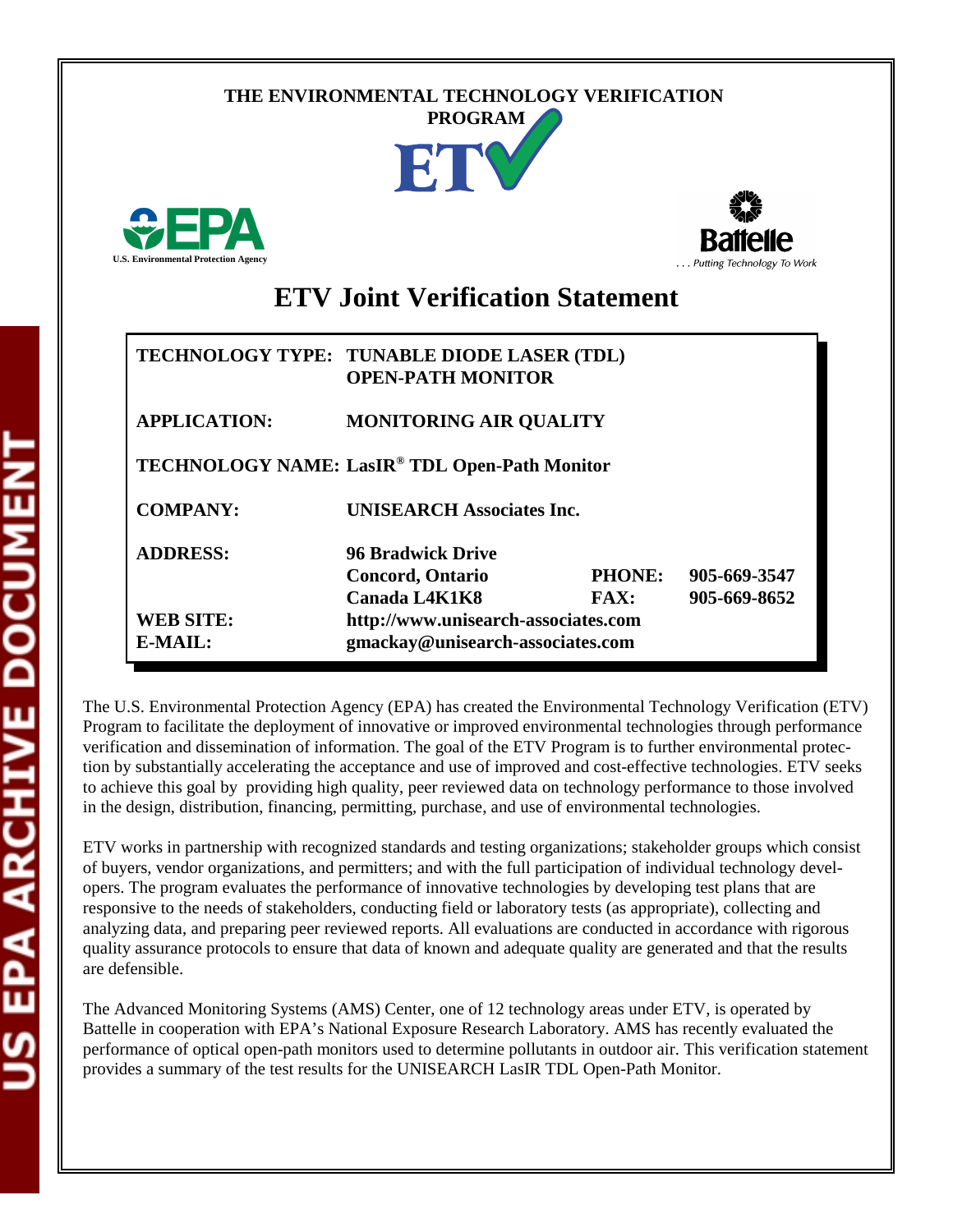## **THE ENVIRONMENTAL TECHNOLOGY VERIFICATION**







# **ETV Joint Verification Statement**

|                             | TECHNOLOGY TYPE: TUNABLE DIODE LASER (TDL)<br><b>OPEN-PATH MONITOR</b>  |                       |                              |
|-----------------------------|-------------------------------------------------------------------------|-----------------------|------------------------------|
| <b>APPLICATION:</b>         | <b>MONITORING AIR QUALITY</b>                                           |                       |                              |
|                             | TECHNOLOGY NAME: LasIR® TDL Open-Path Monitor                           |                       |                              |
| <b>COMPANY:</b>             | <b>UNISEARCH Associates Inc.</b>                                        |                       |                              |
| <b>ADDRESS:</b>             | 96 Bradwick Drive<br><b>Concord, Ontario</b><br>Canada L4K1K8           | <b>PHONE:</b><br>FAX: | 905-669-3547<br>905-669-8652 |
| <b>WEB SITE:</b><br>E-MAIL: | http://www.unisearch-associates.com<br>gmackay@unisearch-associates.com |                       |                              |

The U.S. Environmental Protection Agency (EPA) has created the Environmental Technology Verification (ETV) Program to facilitate the deployment of innovative or improved environmental technologies through performance verification and dissemination of information. The goal of the ETV Program is to further environmental protection by substantially accelerating the acceptance and use of improved and cost-effective technologies. ETV seeks to achieve this goal by providing high quality, peer reviewed data on technology performance to those involved in the design, distribution, financing, permitting, purchase, and use of environmental technologies.

ETV works in partnership with recognized standards and testing organizations; stakeholder groups which consist of buyers, vendor organizations, and permitters; and with the full participation of individual technology developers. The program evaluates the performance of innovative technologies by developing test plans that are responsive to the needs of stakeholders, conducting field or laboratory tests (as appropriate), collecting and analyzing data, and preparing peer reviewed reports. All evaluations are conducted in accordance with rigorous quality assurance protocols to ensure that data of known and adequate quality are generated and that the results are defensible.

The Advanced Monitoring Systems (AMS) Center, one of 12 technology areas under ETV, is operated by Battelle in cooperation with EPA's National Exposure Research Laboratory. AMS has recently evaluated the performance of optical open-path monitors used to determine pollutants in outdoor air. This verification statement provides a summary of the test results for the UNISEARCH LasIR TDL Open-Path Monitor.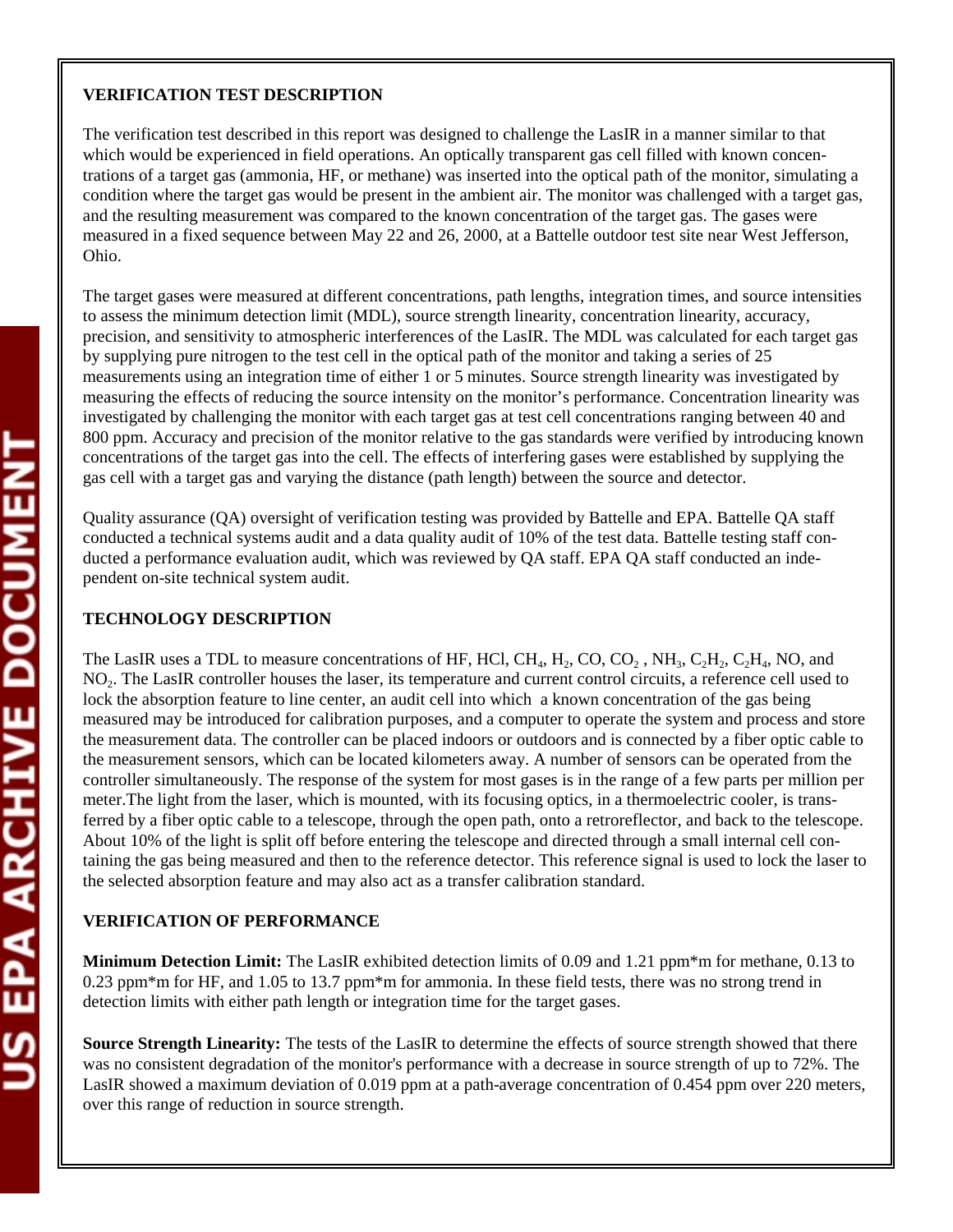### **VERIFICATION TEST DESCRIPTION**

The verification test described in this report was designed to challenge the LasIR in a manner similar to that which would be experienced in field operations. An optically transparent gas cell filled with known concentrations of a target gas (ammonia, HF, or methane) was inserted into the optical path of the monitor, simulating a condition where the target gas would be present in the ambient air. The monitor was challenged with a target gas, and the resulting measurement was compared to the known concentration of the target gas. The gases were measured in a fixed sequence between May 22 and 26, 2000, at a Battelle outdoor test site near West Jefferson, Ohio.

The target gases were measured at different concentrations, path lengths, integration times, and source intensities to assess the minimum detection limit (MDL), source strength linearity, concentration linearity, accuracy, precision, and sensitivity to atmospheric interferences of the LasIR. The MDL was calculated for each target gas by supplying pure nitrogen to the test cell in the optical path of the monitor and taking a series of 25 measurements using an integration time of either 1 or 5 minutes. Source strength linearity was investigated by measuring the effects of reducing the source intensity on the monitor's performance. Concentration linearity was investigated by challenging the monitor with each target gas at test cell concentrations ranging between 40 and 800 ppm. Accuracy and precision of the monitor relative to the gas standards were verified by introducing known concentrations of the target gas into the cell. The effects of interfering gases were established by supplying the gas cell with a target gas and varying the distance (path length) between the source and detector.

Quality assurance (QA) oversight of verification testing was provided by Battelle and EPA. Battelle QA staff conducted a technical systems audit and a data quality audit of 10% of the test data. Battelle testing staff conducted a performance evaluation audit, which was reviewed by QA staff. EPA QA staff conducted an independent on-site technical system audit.

### **TECHNOLOGY DESCRIPTION**

The LasIR uses a TDL to measure concentrations of HF, HCl, CH<sub>4</sub>, H<sub>2</sub>, CO, CO<sub>2</sub>, NH<sub>3</sub>, C<sub>2</sub>H<sub>4</sub>, C<sub>2</sub>H<sub>4</sub>, NO, and NO2. The LasIR controller houses the laser, its temperature and current control circuits, a reference cell used to lock the absorption feature to line center, an audit cell into which a known concentration of the gas being measured may be introduced for calibration purposes, and a computer to operate the system and process and store the measurement data. The controller can be placed indoors or outdoors and is connected by a fiber optic cable to the measurement sensors, which can be located kilometers away. A number of sensors can be operated from the controller simultaneously. The response of the system for most gases is in the range of a few parts per million per meter.The light from the laser, which is mounted, with its focusing optics, in a thermoelectric cooler, is transferred by a fiber optic cable to a telescope, through the open path, onto a retroreflector, and back to the telescope. About 10% of the light is split off before entering the telescope and directed through a small internal cell containing the gas being measured and then to the reference detector. This reference signal is used to lock the laser to the selected absorption feature and may also act as a transfer calibration standard.

#### **VERIFICATION OF PERFORMANCE**

**Minimum Detection Limit:** The LasIR exhibited detection limits of 0.09 and 1.21 ppm\*m for methane, 0.13 to 0.23 ppm\*m for HF, and 1.05 to 13.7 ppm\*m for ammonia. In these field tests, there was no strong trend in detection limits with either path length or integration time for the target gases.

**Source Strength Linearity:** The tests of the LasIR to determine the effects of source strength showed that there was no consistent degradation of the monitor's performance with a decrease in source strength of up to 72%. The LasIR showed a maximum deviation of 0.019 ppm at a path-average concentration of 0.454 ppm over 220 meters, over this range of reduction in source strength.